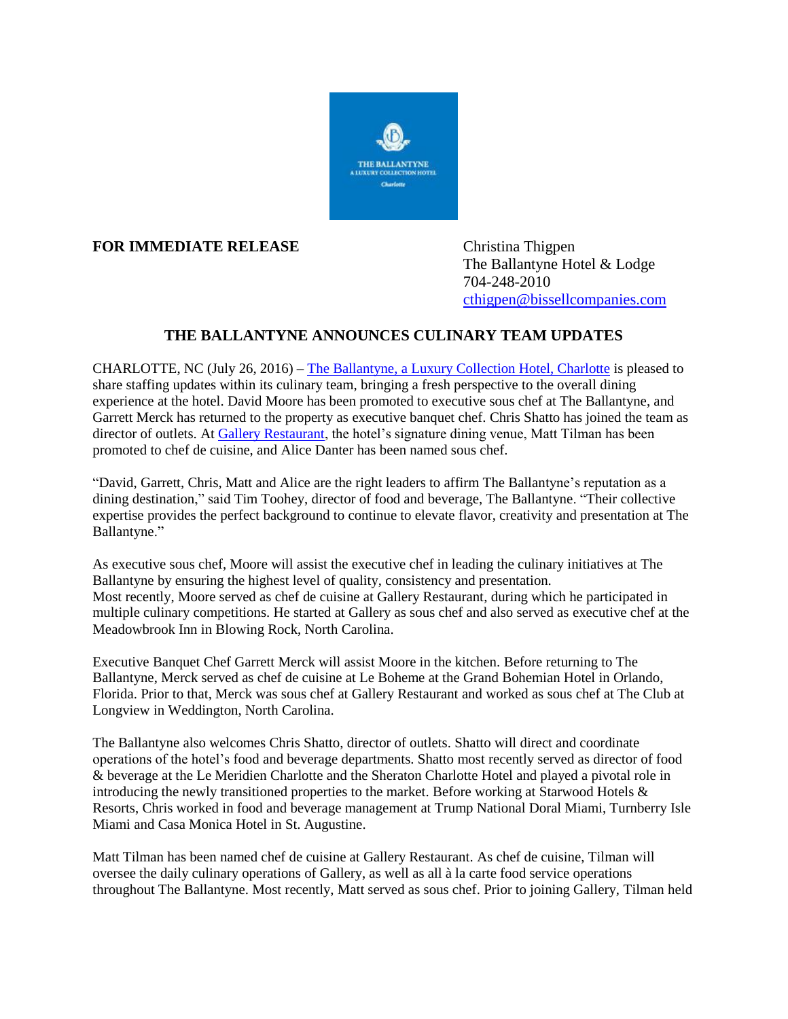

## **FOR IMMEDIATE RELEASE** Christina Thigpen

The Ballantyne Hotel & Lodge 704-248-2010 [cthigpen@bissellcompanies.com](mailto:cthigpen@bissellcompanies.com)

## **THE BALLANTYNE ANNOUNCES CULINARY TEAM UPDATES**

CHARLOTTE, NC (July 26, 2016) **–** [The Ballantyne, a Luxury Collection Hotel, Charlotte](http://www.theballantynehotel.com/) is pleased to share staffing updates within its culinary team, bringing a fresh perspective to the overall dining experience at the hotel. David Moore has been promoted to executive sous chef at The Ballantyne, and Garrett Merck has returned to the property as executive banquet chef. Chris Shatto has joined the team as director of outlets. At [Gallery Restaurant,](http://www.gallery-restaurant.com/) the hotel's signature dining venue, Matt Tilman has been promoted to chef de cuisine, and Alice Danter has been named sous chef.

"David, Garrett, Chris, Matt and Alice are the right leaders to affirm The Ballantyne's reputation as a dining destination," said Tim Toohey, director of food and beverage, The Ballantyne. "Their collective expertise provides the perfect background to continue to elevate flavor, creativity and presentation at The Ballantyne."

As executive sous chef, Moore will assist the executive chef in leading the culinary initiatives at The Ballantyne by ensuring the highest level of quality, consistency and presentation. Most recently, Moore served as chef de cuisine at Gallery Restaurant, during which he participated in multiple culinary competitions. He started at Gallery as sous chef and also served as executive chef at the Meadowbrook Inn in Blowing Rock, North Carolina.

Executive Banquet Chef Garrett Merck will assist Moore in the kitchen. Before returning to The Ballantyne, Merck served as chef de cuisine at Le Boheme at the Grand Bohemian Hotel in Orlando, Florida. Prior to that, Merck was sous chef at Gallery Restaurant and worked as sous chef at The Club at Longview in Weddington, North Carolina.

The Ballantyne also welcomes Chris Shatto, director of outlets. Shatto will direct and coordinate operations of the hotel's food and beverage departments. Shatto most recently served as director of food & beverage at the Le Meridien Charlotte and the Sheraton Charlotte Hotel and played a pivotal role in introducing the newly transitioned properties to the market. Before working at Starwood Hotels  $\&$ Resorts, Chris worked in food and beverage management at Trump National Doral Miami, Turnberry Isle Miami and Casa Monica Hotel in St. Augustine.

Matt Tilman has been named chef de cuisine at Gallery Restaurant. As chef de cuisine, Tilman will oversee the daily culinary operations of Gallery, as well as all à la carte food service operations throughout The Ballantyne. Most recently, Matt served as sous chef. Prior to joining Gallery, Tilman held